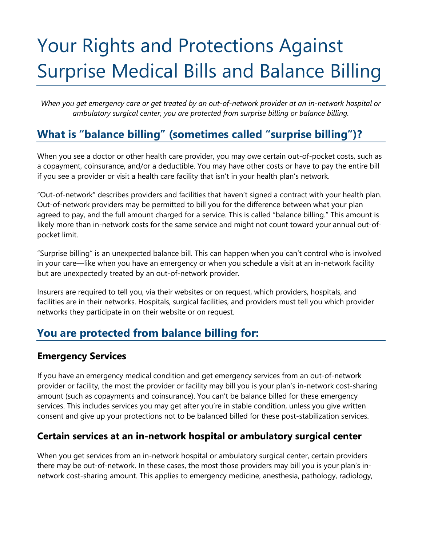# Your Rights and Protections Against Surprise Medical Bills and Balance Billing

*When you get emergency care or get treated by an out-of-network provider at an in-network hospital or ambulatory surgical center, you are protected from surprise billing or balance billing.* 

# **What is "balance billing" (sometimes called "surprise billing")?**

 a copayment, coinsurance, and/or a deductible. You may have other costs or have to pay the entire bill When you see a doctor or other health care provider, you may owe certain out-of-pocket costs, such as if you see a provider or visit a health care facility that isn't in your health plan's network.

 "Out-of-network" describes providers and facilities that haven't signed a contract with your health plan. agreed to pay, and the full amount charged for a service. This is called "balance billing." This amount is likely more than in-network costs for the same service and might not count toward your annual out-of-Out-of-network providers may be permitted to bill you for the difference between what your plan pocket limit.

"Surprise billing" is an unexpected balance bill. This can happen when you can't control who is involved in your care—like when you have an emergency or when you schedule a visit at an in-network facility but are unexpectedly treated by an out-of-network provider.

Insurers are required to tell you, via their websites or on request, which providers, hospitals, and facilities are in their networks. Hospitals, surgical facilities, and providers must tell you which provider networks they participate in on their website or on request.

## **You are protected from balance billing for:**

#### **Emergency Services**

If you have an emergency medical condition and get emergency services from an out-of-network provider or facility, the most the provider or facility may bill you is your plan's in-network cost-sharing amount (such as copayments and coinsurance). You can't be balance billed for these emergency services. This includes services you may get after you're in stable condition, unless you give written consent and give up your protections not to be balanced billed for these post-stabilization services.

#### **Certain services at an in-network hospital or ambulatory surgical center**

When you get services from an in-network hospital or ambulatory surgical center, certain providers there may be out-of-network. In these cases, the most those providers may bill you is your plan's innetwork cost-sharing amount. This applies to emergency medicine, anesthesia, pathology, radiology,